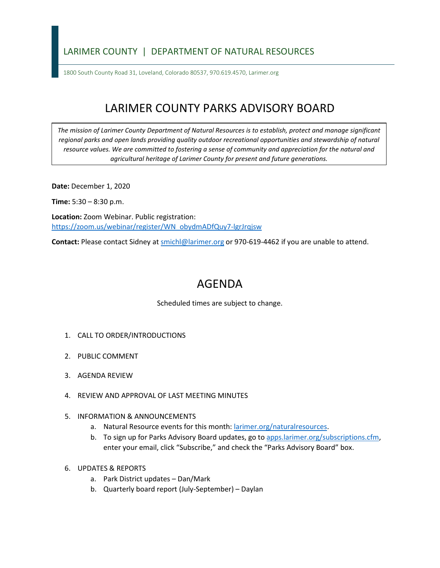## LARIMER COUNTY | DEPARTMENT OF NATURAL RESOURCES

1800 South County Road 31, Loveland, Colorado 80537, 970.619.4570, Larimer.org

## LARIMER COUNTY PARKS ADVISORY BOARD

*The mission of Larimer County Department of Natural Resources is to establish, protect and manage significant*  regional parks and open lands providing quality outdoor recreational opportunities and stewardship of natural *resource values. We are committed to fostering a sense of community and appreciation for the natural and agricultural heritage of Larimer County for present and future generations.*

**Date:** December 1, 2020

**Time:** 5:30 – 8:30 p.m.

**Location:** Zoom Webinar. Public registration: [https://zoom.us/webinar/register/WN\\_obydmADfQuy7-lgrJrqjsw](https://zoom.us/webinar/register/WN_obydmADfQuy7-lgrJrqjsw)

**Contact:** Please contact Sidney a[t smichl@larimer.org](mailto:smichl@larimer.org) or 970-619-4462 if you are unable to attend.

## AGENDA

Scheduled times are subject to change.

- 1. CALL TO ORDER/INTRODUCTIONS
- 2. PUBLIC COMMENT
- 3. AGENDA REVIEW
- 4. REVIEW AND APPROVAL OF LAST MEETING MINUTES
- 5. INFORMATION & ANNOUNCEMENTS
	- a. Natural Resource events for this month: larimer.org/naturalresources.
	- b. To sign up for Parks Advisory Board updates, go to apps.larimer.org/subscriptions.cfm, enter your email, click "Subscribe," and check the "Parks Advisory Board" box.
- 6. UPDATES & REPORTS
	- a. Park District updates Dan/Mark
	- b. Quarterly board report (July-September) Daylan